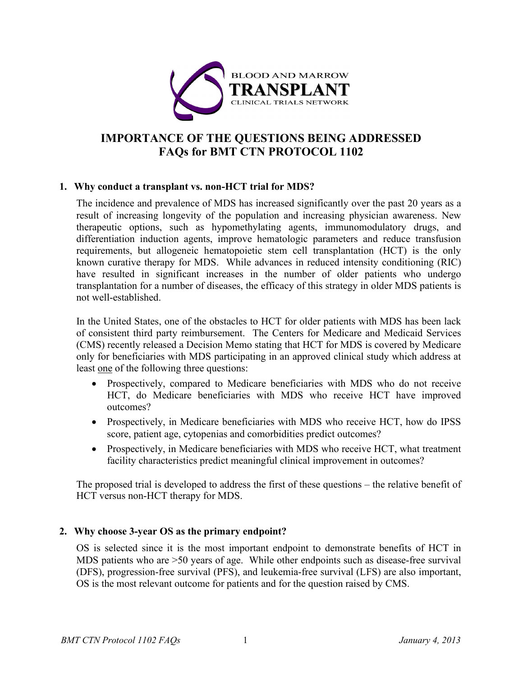

# **IMPORTANCE OF THE QUESTIONS BEING ADDRESSED FAQs for BMT CTN PROTOCOL 1102**

### **1. Why conduct a transplant vs. non-HCT trial for MDS?**

The incidence and prevalence of MDS has increased significantly over the past 20 years as a result of increasing longevity of the population and increasing physician awareness. New therapeutic options, such as hypomethylating agents, immunomodulatory drugs, and differentiation induction agents, improve hematologic parameters and reduce transfusion requirements, but allogeneic hematopoietic stem cell transplantation (HCT) is the only known curative therapy for MDS. While advances in reduced intensity conditioning (RIC) have resulted in significant increases in the number of older patients who undergo transplantation for a number of diseases, the efficacy of this strategy in older MDS patients is not well-established.

In the United States, one of the obstacles to HCT for older patients with MDS has been lack of consistent third party reimbursement. The Centers for Medicare and Medicaid Services (CMS) recently released a Decision Memo stating that HCT for MDS is covered by Medicare only for beneficiaries with MDS participating in an approved clinical study which address at least one of the following three questions:

- Prospectively, compared to Medicare beneficiaries with MDS who do not receive HCT, do Medicare beneficiaries with MDS who receive HCT have improved outcomes?
- Prospectively, in Medicare beneficiaries with MDS who receive HCT, how do IPSS score, patient age, cytopenias and comorbidities predict outcomes?
- Prospectively, in Medicare beneficiaries with MDS who receive HCT, what treatment facility characteristics predict meaningful clinical improvement in outcomes?

The proposed trial is developed to address the first of these questions – the relative benefit of HCT versus non-HCT therapy for MDS.

# **2. Why choose 3-year OS as the primary endpoint?**

OS is selected since it is the most important endpoint to demonstrate benefits of HCT in MDS patients who are >50 years of age. While other endpoints such as disease-free survival (DFS), progression-free survival (PFS), and leukemia-free survival (LFS) are also important, OS is the most relevant outcome for patients and for the question raised by CMS.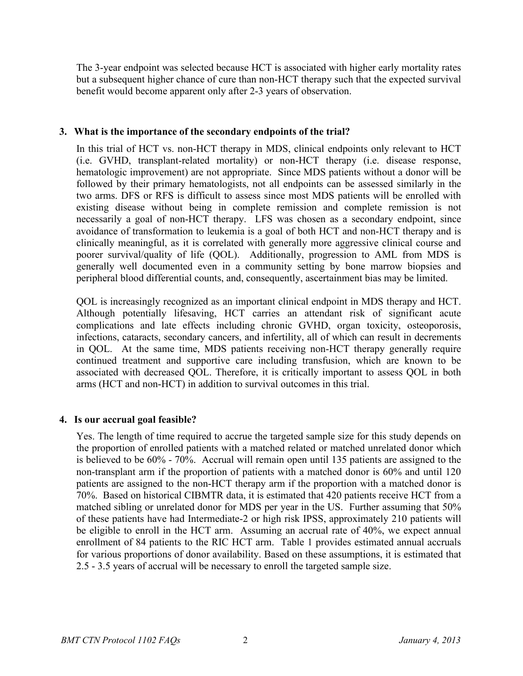The 3-year endpoint was selected because HCT is associated with higher early mortality rates but a subsequent higher chance of cure than non-HCT therapy such that the expected survival benefit would become apparent only after 2-3 years of observation.

### **3. What is the importance of the secondary endpoints of the trial?**

In this trial of HCT vs. non-HCT therapy in MDS, clinical endpoints only relevant to HCT (i.e. GVHD, transplant-related mortality) or non-HCT therapy (i.e. disease response, hematologic improvement) are not appropriate. Since MDS patients without a donor will be followed by their primary hematologists, not all endpoints can be assessed similarly in the two arms. DFS or RFS is difficult to assess since most MDS patients will be enrolled with existing disease without being in complete remission and complete remission is not necessarily a goal of non-HCT therapy. LFS was chosen as a secondary endpoint, since avoidance of transformation to leukemia is a goal of both HCT and non-HCT therapy and is clinically meaningful, as it is correlated with generally more aggressive clinical course and poorer survival/quality of life (QOL). Additionally, progression to AML from MDS is generally well documented even in a community setting by bone marrow biopsies and peripheral blood differential counts, and, consequently, ascertainment bias may be limited.

QOL is increasingly recognized as an important clinical endpoint in MDS therapy and HCT. Although potentially lifesaving, HCT carries an attendant risk of significant acute complications and late effects including chronic GVHD, organ toxicity, osteoporosis, infections, cataracts, secondary cancers, and infertility, all of which can result in decrements in QOL. At the same time, MDS patients receiving non-HCT therapy generally require continued treatment and supportive care including transfusion, which are known to be associated with decreased QOL. Therefore, it is critically important to assess QOL in both arms (HCT and non-HCT) in addition to survival outcomes in this trial.

# **4. Is our accrual goal feasible?**

Yes. The length of time required to accrue the targeted sample size for this study depends on the proportion of enrolled patients with a matched related or matched unrelated donor which is believed to be 60% - 70%. Accrual will remain open until 135 patients are assigned to the non-transplant arm if the proportion of patients with a matched donor is 60% and until 120 patients are assigned to the non-HCT therapy arm if the proportion with a matched donor is 70%. Based on historical CIBMTR data, it is estimated that 420 patients receive HCT from a matched sibling or unrelated donor for MDS per year in the US. Further assuming that 50% of these patients have had Intermediate-2 or high risk IPSS, approximately 210 patients will be eligible to enroll in the HCT arm. Assuming an accrual rate of 40%, we expect annual enrollment of 84 patients to the RIC HCT arm. Table 1 provides estimated annual accruals for various proportions of donor availability. Based on these assumptions, it is estimated that 2.5 - 3.5 years of accrual will be necessary to enroll the targeted sample size.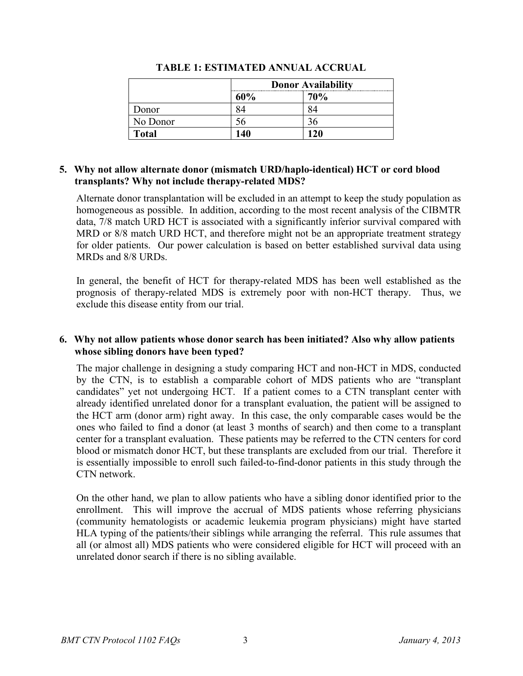|              | <b>Donor Availability</b> |            |
|--------------|---------------------------|------------|
|              | 60%                       | <b>70%</b> |
| Donor        |                           |            |
| No Donor     |                           |            |
| <b>Total</b> | 140                       | 120        |

#### **TABLE 1: ESTIMATED ANNUAL ACCRUAL**

#### **5. Why not allow alternate donor (mismatch URD/haplo-identical) HCT or cord blood transplants? Why not include therapy-related MDS?**

Alternate donor transplantation will be excluded in an attempt to keep the study population as homogeneous as possible. In addition, according to the most recent analysis of the CIBMTR data, 7/8 match URD HCT is associated with a significantly inferior survival compared with MRD or  $8/8$  match URD HCT, and therefore might not be an appropriate treatment strategy for older patients. Our power calculation is based on better established survival data using MRDs and 8/8 URDs.

In general, the benefit of HCT for therapy-related MDS has been well established as the prognosis of therapy-related MDS is extremely poor with non-HCT therapy. Thus, we exclude this disease entity from our trial.

# **6. Why not allow patients whose donor search has been initiated? Also why allow patients whose sibling donors have been typed?**

The major challenge in designing a study comparing HCT and non-HCT in MDS, conducted by the CTN, is to establish a comparable cohort of MDS patients who are "transplant candidates" yet not undergoing HCT. If a patient comes to a CTN transplant center with already identified unrelated donor for a transplant evaluation, the patient will be assigned to the HCT arm (donor arm) right away. In this case, the only comparable cases would be the ones who failed to find a donor (at least 3 months of search) and then come to a transplant center for a transplant evaluation. These patients may be referred to the CTN centers for cord blood or mismatch donor HCT, but these transplants are excluded from our trial. Therefore it is essentially impossible to enroll such failed-to-find-donor patients in this study through the CTN network.

On the other hand, we plan to allow patients who have a sibling donor identified prior to the enrollment. This will improve the accrual of MDS patients whose referring physicians (community hematologists or academic leukemia program physicians) might have started HLA typing of the patients/their siblings while arranging the referral. This rule assumes that all (or almost all) MDS patients who were considered eligible for HCT will proceed with an unrelated donor search if there is no sibling available.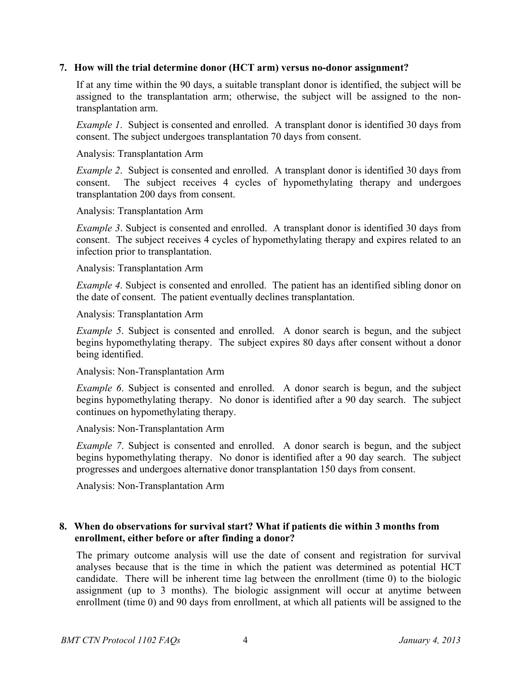#### **7. How will the trial determine donor (HCT arm) versus no-donor assignment?**

If at any time within the 90 days, a suitable transplant donor is identified, the subject will be assigned to the transplantation arm; otherwise, the subject will be assigned to the nontransplantation arm.

*Example 1*. Subject is consented and enrolled. A transplant donor is identified 30 days from consent. The subject undergoes transplantation 70 days from consent.

Analysis: Transplantation Arm

*Example 2*. Subject is consented and enrolled. A transplant donor is identified 30 days from consent. The subject receives 4 cycles of hypomethylating therapy and undergoes transplantation 200 days from consent.

Analysis: Transplantation Arm

*Example 3*. Subject is consented and enrolled. A transplant donor is identified 30 days from consent. The subject receives 4 cycles of hypomethylating therapy and expires related to an infection prior to transplantation.

Analysis: Transplantation Arm

*Example 4*. Subject is consented and enrolled. The patient has an identified sibling donor on the date of consent. The patient eventually declines transplantation.

Analysis: Transplantation Arm

*Example 5*. Subject is consented and enrolled. A donor search is begun, and the subject begins hypomethylating therapy. The subject expires 80 days after consent without a donor being identified.

Analysis: Non-Transplantation Arm

*Example 6*. Subject is consented and enrolled. A donor search is begun, and the subject begins hypomethylating therapy. No donor is identified after a 90 day search. The subject continues on hypomethylating therapy.

Analysis: Non-Transplantation Arm

*Example 7.* Subject is consented and enrolled. A donor search is begun, and the subject begins hypomethylating therapy. No donor is identified after a 90 day search. The subject progresses and undergoes alternative donor transplantation 150 days from consent.

Analysis: Non-Transplantation Arm

### **8. When do observations for survival start? What if patients die within 3 months from enrollment, either before or after finding a donor?**

The primary outcome analysis will use the date of consent and registration for survival analyses because that is the time in which the patient was determined as potential HCT candidate. There will be inherent time lag between the enrollment (time 0) to the biologic assignment (up to 3 months). The biologic assignment will occur at anytime between enrollment (time 0) and 90 days from enrollment, at which all patients will be assigned to the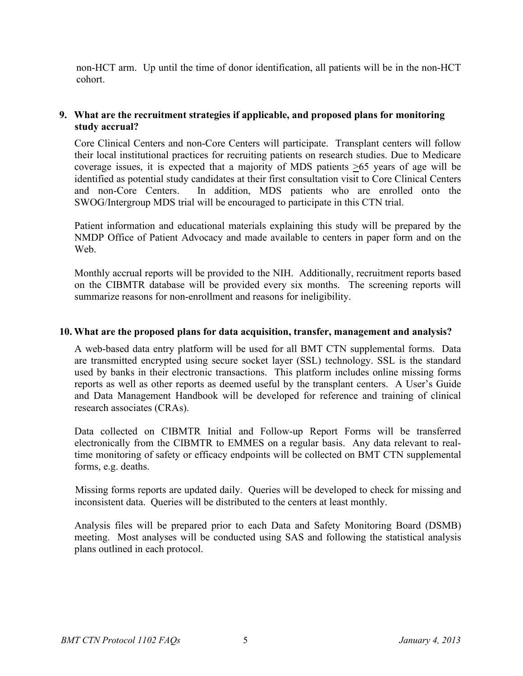non-HCT arm. Up until the time of donor identification, all patients will be in the non-HCT cohort.

# **9. What are the recruitment strategies if applicable, and proposed plans for monitoring study accrual?**

Core Clinical Centers and non-Core Centers will participate. Transplant centers will follow their local institutional practices for recruiting patients on research studies. Due to Medicare coverage issues, it is expected that a majority of MDS patients  $\geq 65$  years of age will be identified as potential study candidates at their first consultation visit to Core Clinical Centers and non-Core Centers. In addition, MDS patients who are enrolled onto the SWOG/Intergroup MDS trial will be encouraged to participate in this CTN trial.

Patient information and educational materials explaining this study will be prepared by the NMDP Office of Patient Advocacy and made available to centers in paper form and on the Web.

Monthly accrual reports will be provided to the NIH. Additionally, recruitment reports based on the CIBMTR database will be provided every six months. The screening reports will summarize reasons for non-enrollment and reasons for ineligibility.

#### **10. What are the proposed plans for data acquisition, transfer, management and analysis?**

A web-based data entry platform will be used for all BMT CTN supplemental forms. Data are transmitted encrypted using secure socket layer (SSL) technology. SSL is the standard used by banks in their electronic transactions. This platform includes online missing forms reports as well as other reports as deemed useful by the transplant centers. A User's Guide and Data Management Handbook will be developed for reference and training of clinical research associates (CRAs).

Data collected on CIBMTR Initial and Follow-up Report Forms will be transferred electronically from the CIBMTR to EMMES on a regular basis. Any data relevant to realtime monitoring of safety or efficacy endpoints will be collected on BMT CTN supplemental forms, e.g. deaths.

Missing forms reports are updated daily. Queries will be developed to check for missing and inconsistent data. Queries will be distributed to the centers at least monthly.

Analysis files will be prepared prior to each Data and Safety Monitoring Board (DSMB) meeting. Most analyses will be conducted using SAS and following the statistical analysis plans outlined in each protocol.